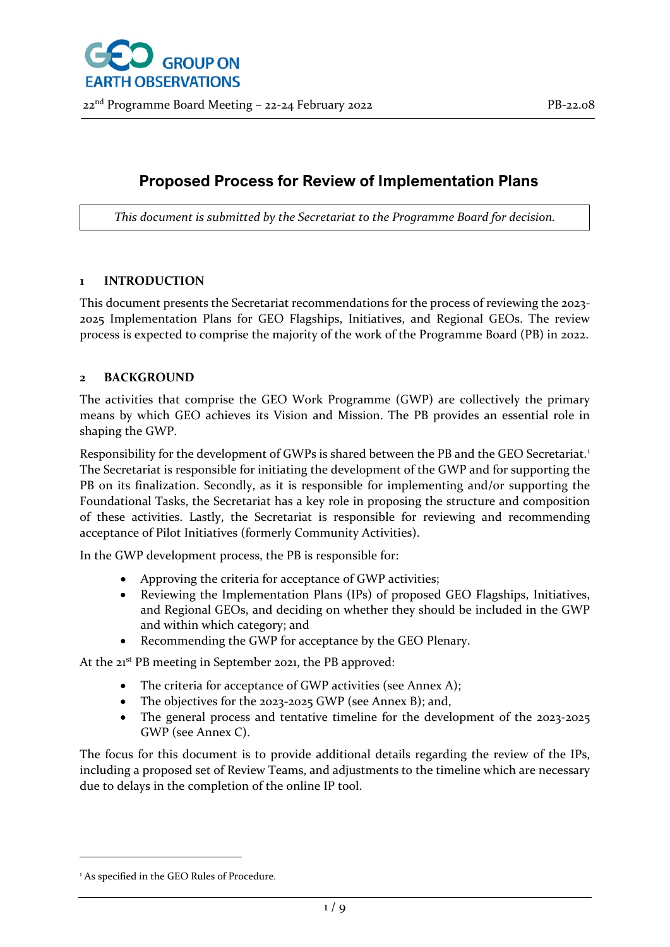

## **Proposed Process for Review of Implementation Plans**

*This document is submitted by the Secretariat to the Programme Board for decision.*

#### **1 INTRODUCTION**

This document presents the Secretariat recommendations for the process of reviewing the 2023- 2025 Implementation Plans for GEO Flagships, Initiatives, and Regional GEOs. The review process is expected to comprise the majority of the work of the Programme Board (PB) in 2022.

### **2 BACKGROUND**

The activities that comprise the GEO Work Programme (GWP) are collectively the primary means by which GEO achieves its Vision and Mission. The PB provides an essential role in shaping the GWP.

Responsibility for the development of GWPs is shared between the PB and the GEO Secretariat.<sup>[1](#page-0-0)</sup> The Secretariat is responsible for initiating the development of the GWP and for supporting the PB on its finalization. Secondly, as it is responsible for implementing and/or supporting the Foundational Tasks, the Secretariat has a key role in proposing the structure and composition of these activities. Lastly, the Secretariat is responsible for reviewing and recommending acceptance of Pilot Initiatives (formerly Community Activities).

In the GWP development process, the PB is responsible for:

- Approving the criteria for acceptance of GWP activities;
- Reviewing the Implementation Plans (IPs) of proposed GEO Flagships, Initiatives, and Regional GEOs, and deciding on whether they should be included in the GWP and within which category; and
- Recommending the GWP for acceptance by the GEO Plenary.

At the 21<sup>st</sup> PB meeting in September 2021, the PB approved:

- The criteria for acceptance of GWP activities (see Annex A);
- The objectives for the 2023-2025 GWP (see Annex B); and,
- The general process and tentative timeline for the development of the 2023-2025 GWP (see Annex C).

The focus for this document is to provide additional details regarding the review of the IPs, including a proposed set of Review Teams, and adjustments to the timeline which are necessary due to delays in the completion of the online IP tool.

<span id="page-0-0"></span><sup>&</sup>lt;sup>1</sup> As specified in the GEO Rules of Procedure.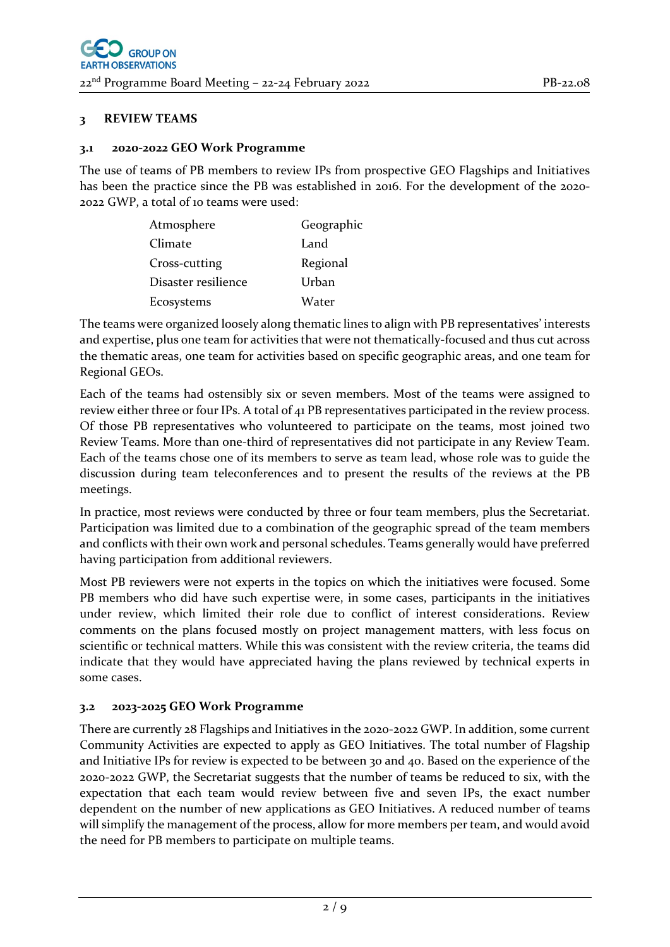### **3 REVIEW TEAMS**

#### **3.1 2020-2022 GEO Work Programme**

The use of teams of PB members to review IPs from prospective GEO Flagships and Initiatives has been the practice since the PB was established in 2016. For the development of the 2020- 2022 GWP, a total of 10 teams were used:

| Atmosphere          | Geographic |
|---------------------|------------|
| Climate             | Land       |
| Cross-cutting       | Regional   |
| Disaster resilience | Urban      |
| Ecosystems          | Water      |

The teams were organized loosely along thematic lines to align with PB representatives' interests and expertise, plus one team for activities that were not thematically-focused and thus cut across the thematic areas, one team for activities based on specific geographic areas, and one team for Regional GEOs.

Each of the teams had ostensibly six or seven members. Most of the teams were assigned to review either three or four IPs. A total of 41 PB representatives participated in the review process. Of those PB representatives who volunteered to participate on the teams, most joined two Review Teams. More than one-third of representatives did not participate in any Review Team. Each of the teams chose one of its members to serve as team lead, whose role was to guide the discussion during team teleconferences and to present the results of the reviews at the PB meetings.

In practice, most reviews were conducted by three or four team members, plus the Secretariat. Participation was limited due to a combination of the geographic spread of the team members and conflicts with their own work and personal schedules. Teams generally would have preferred having participation from additional reviewers.

Most PB reviewers were not experts in the topics on which the initiatives were focused. Some PB members who did have such expertise were, in some cases, participants in the initiatives under review, which limited their role due to conflict of interest considerations. Review comments on the plans focused mostly on project management matters, with less focus on scientific or technical matters. While this was consistent with the review criteria, the teams did indicate that they would have appreciated having the plans reviewed by technical experts in some cases.

#### **3.2 2023-2025 GEO Work Programme**

There are currently 28 Flagships and Initiatives in the 2020-2022 GWP. In addition, some current Community Activities are expected to apply as GEO Initiatives. The total number of Flagship and Initiative IPs for review is expected to be between 30 and 40. Based on the experience of the 2020-2022 GWP, the Secretariat suggests that the number of teams be reduced to six, with the expectation that each team would review between five and seven IPs, the exact number dependent on the number of new applications as GEO Initiatives. A reduced number of teams will simplify the management of the process, allow for more members per team, and would avoid the need for PB members to participate on multiple teams.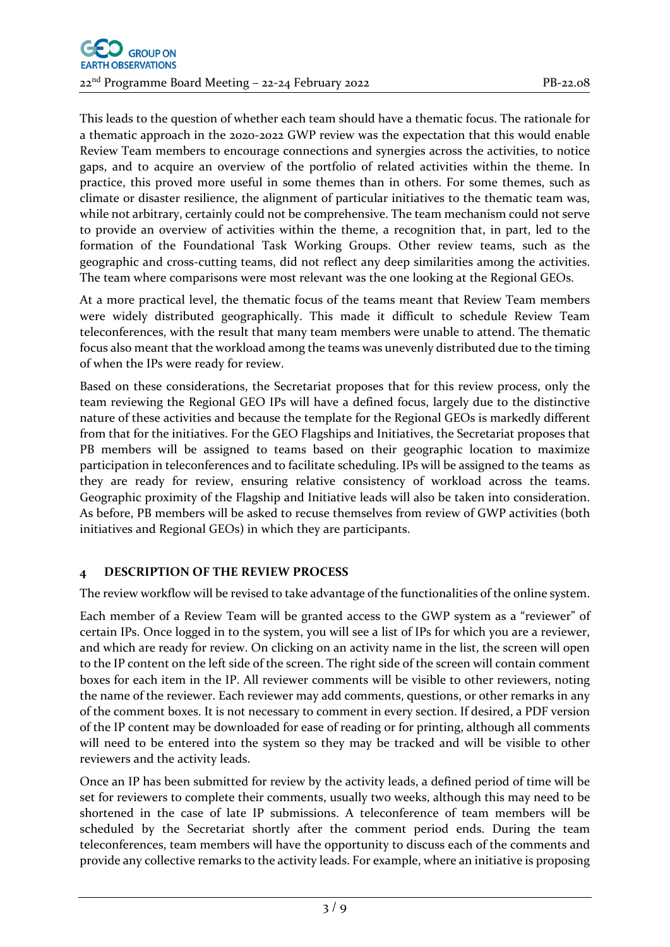This leads to the question of whether each team should have a thematic focus. The rationale for a thematic approach in the 2020-2022 GWP review was the expectation that this would enable Review Team members to encourage connections and synergies across the activities, to notice gaps, and to acquire an overview of the portfolio of related activities within the theme. In practice, this proved more useful in some themes than in others. For some themes, such as climate or disaster resilience, the alignment of particular initiatives to the thematic team was, while not arbitrary, certainly could not be comprehensive. The team mechanism could not serve to provide an overview of activities within the theme, a recognition that, in part, led to the formation of the Foundational Task Working Groups. Other review teams, such as the geographic and cross-cutting teams, did not reflect any deep similarities among the activities. The team where comparisons were most relevant was the one looking at the Regional GEOs.

At a more practical level, the thematic focus of the teams meant that Review Team members were widely distributed geographically. This made it difficult to schedule Review Team teleconferences, with the result that many team members were unable to attend. The thematic focus also meant that the workload among the teams was unevenly distributed due to the timing of when the IPs were ready for review.

Based on these considerations, the Secretariat proposes that for this review process, only the team reviewing the Regional GEO IPs will have a defined focus, largely due to the distinctive nature of these activities and because the template for the Regional GEOs is markedly different from that for the initiatives. For the GEO Flagships and Initiatives, the Secretariat proposes that PB members will be assigned to teams based on their geographic location to maximize participation in teleconferences and to facilitate scheduling. IPs will be assigned to the teams as they are ready for review, ensuring relative consistency of workload across the teams. Geographic proximity of the Flagship and Initiative leads will also be taken into consideration. As before, PB members will be asked to recuse themselves from review of GWP activities (both initiatives and Regional GEOs) in which they are participants.

## **4 DESCRIPTION OF THE REVIEW PROCESS**

The review workflow will be revised to take advantage of the functionalities of the online system.

Each member of a Review Team will be granted access to the GWP system as a "reviewer" of certain IPs. Once logged in to the system, you will see a list of IPs for which you are a reviewer, and which are ready for review. On clicking on an activity name in the list, the screen will open to the IP content on the left side of the screen. The right side of the screen will contain comment boxes for each item in the IP. All reviewer comments will be visible to other reviewers, noting the name of the reviewer. Each reviewer may add comments, questions, or other remarks in any of the comment boxes. It is not necessary to comment in every section. If desired, a PDF version of the IP content may be downloaded for ease of reading or for printing, although all comments will need to be entered into the system so they may be tracked and will be visible to other reviewers and the activity leads.

Once an IP has been submitted for review by the activity leads, a defined period of time will be set for reviewers to complete their comments, usually two weeks, although this may need to be shortened in the case of late IP submissions. A teleconference of team members will be scheduled by the Secretariat shortly after the comment period ends. During the team teleconferences, team members will have the opportunity to discuss each of the comments and provide any collective remarks to the activity leads. For example, where an initiative is proposing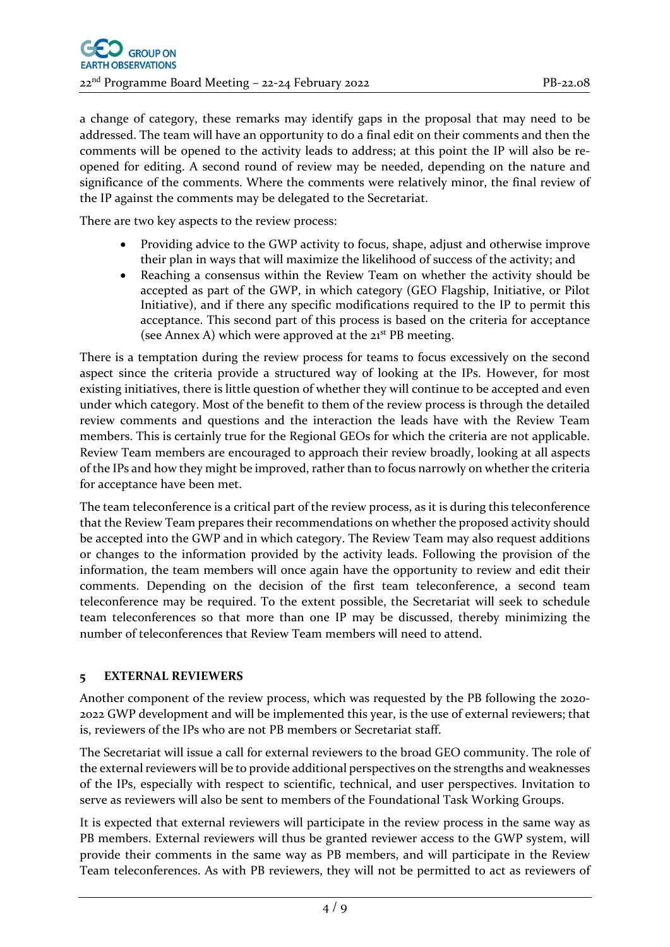a change of category, these remarks may identify gaps in the proposal that may need to be addressed. The team will have an opportunity to do a final edit on their comments and then the comments will be opened to the activity leads to address; at this point the IP will also be reopened for editing. A second round of review may be needed, depending on the nature and significance of the comments. Where the comments were relatively minor, the final review of the IP against the comments may be delegated to the Secretariat.

There are two key aspects to the review process:

- Providing advice to the GWP activity to focus, shape, adjust and otherwise improve their plan in ways that will maximize the likelihood of success of the activity; and
- Reaching a consensus within the Review Team on whether the activity should be accepted as part of the GWP, in which category (GEO Flagship, Initiative, or Pilot Initiative), and if there any specific modifications required to the IP to permit this acceptance. This second part of this process is based on the criteria for acceptance (see Annex A) which were approved at the  $21<sup>st</sup>$  PB meeting.

There is a temptation during the review process for teams to focus excessively on the second aspect since the criteria provide a structured way of looking at the IPs. However, for most existing initiatives, there is little question of whether they will continue to be accepted and even under which category. Most of the benefit to them of the review process is through the detailed review comments and questions and the interaction the leads have with the Review Team members. This is certainly true for the Regional GEOs for which the criteria are not applicable. Review Team members are encouraged to approach their review broadly, looking at all aspects of the IPs and how they might be improved, rather than to focus narrowly on whether the criteria for acceptance have been met.

The team teleconference is a critical part of the review process, as it is during this teleconference that the Review Team prepares their recommendations on whether the proposed activity should be accepted into the GWP and in which category. The Review Team may also request additions or changes to the information provided by the activity leads. Following the provision of the information, the team members will once again have the opportunity to review and edit their comments. Depending on the decision of the first team teleconference, a second team teleconference may be required. To the extent possible, the Secretariat will seek to schedule team teleconferences so that more than one IP may be discussed, thereby minimizing the number of teleconferences that Review Team members will need to attend.

### **5 EXTERNAL REVIEWERS**

Another component of the review process, which was requested by the PB following the 2020- 2022 GWP development and will be implemented this year, is the use of external reviewers; that is, reviewers of the IPs who are not PB members or Secretariat staff.

The Secretariat will issue a call for external reviewers to the broad GEO community. The role of the external reviewers will be to provide additional perspectives on the strengths and weaknesses of the IPs, especially with respect to scientific, technical, and user perspectives. Invitation to serve as reviewers will also be sent to members of the Foundational Task Working Groups.

It is expected that external reviewers will participate in the review process in the same way as PB members. External reviewers will thus be granted reviewer access to the GWP system, will provide their comments in the same way as PB members, and will participate in the Review Team teleconferences. As with PB reviewers, they will not be permitted to act as reviewers of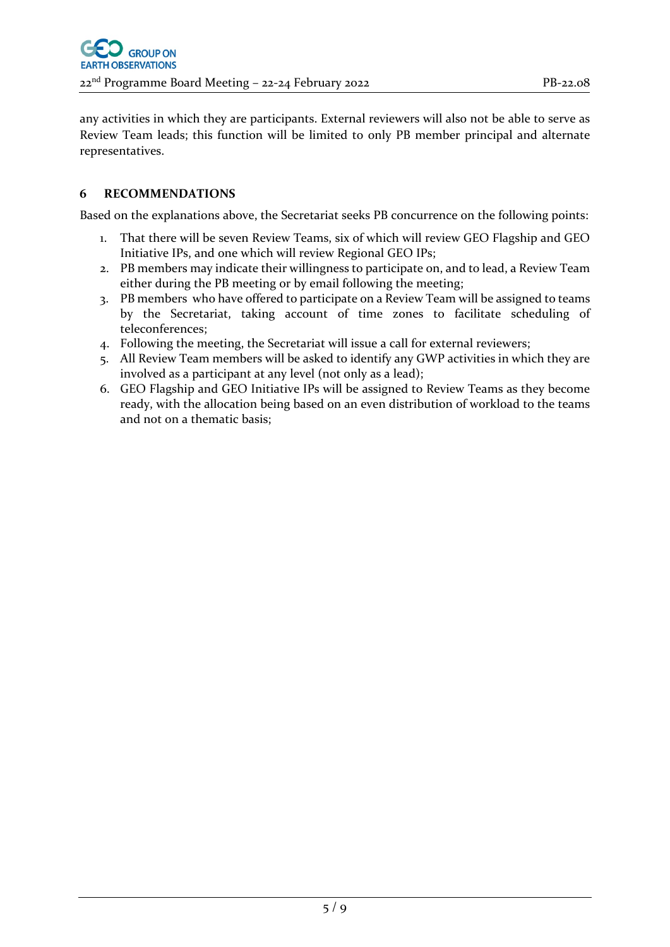any activities in which they are participants. External reviewers will also not be able to serve as Review Team leads; this function will be limited to only PB member principal and alternate representatives.

## **6 RECOMMENDATIONS**

Based on the explanations above, the Secretariat seeks PB concurrence on the following points:

- 1. That there will be seven Review Teams, six of which will review GEO Flagship and GEO Initiative IPs, and one which will review Regional GEO IPs;
- 2. PB members may indicate their willingness to participate on, and to lead, a Review Team either during the PB meeting or by email following the meeting;
- 3. PB members who have offered to participate on a Review Team will be assigned to teams by the Secretariat, taking account of time zones to facilitate scheduling of teleconferences;
- 4. Following the meeting, the Secretariat will issue a call for external reviewers;
- 5. All Review Team members will be asked to identify any GWP activities in which they are involved as a participant at any level (not only as a lead);
- 6. GEO Flagship and GEO Initiative IPs will be assigned to Review Teams as they become ready, with the allocation being based on an even distribution of workload to the teams and not on a thematic basis;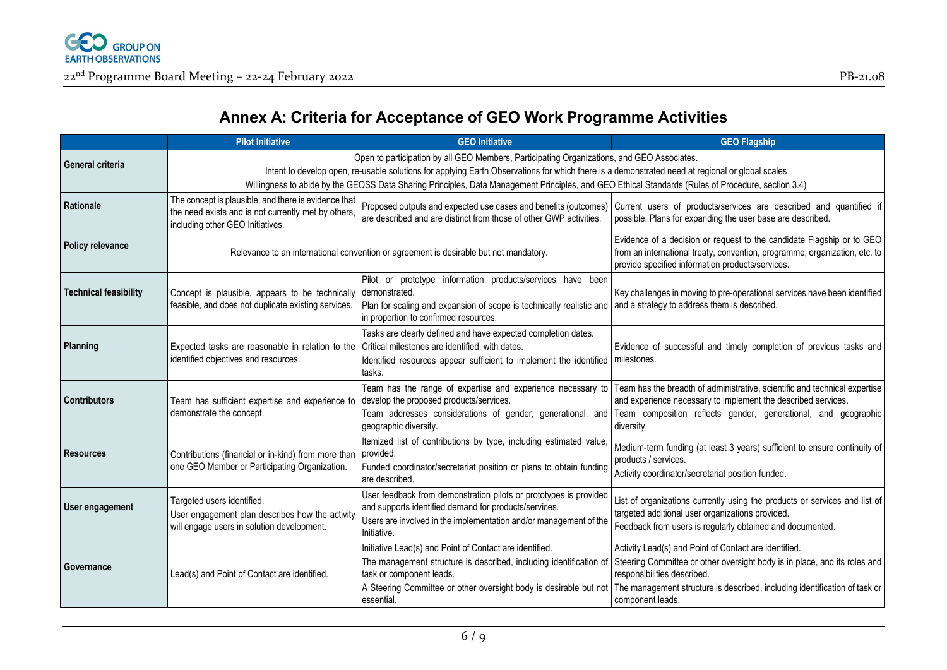

## **Annex A: Criteria for Acceptance of GEO Work Programme Activities**

|                              | <b>Pilot Initiative</b>                                                                                                                            | <b>GEO Initiative</b>                                                                                                                                                                                                                        | <b>GEO Flagship</b>                                                                                                                                                                                                                                                                    |
|------------------------------|----------------------------------------------------------------------------------------------------------------------------------------------------|----------------------------------------------------------------------------------------------------------------------------------------------------------------------------------------------------------------------------------------------|----------------------------------------------------------------------------------------------------------------------------------------------------------------------------------------------------------------------------------------------------------------------------------------|
| General criteria             | Open to participation by all GEO Members, Participating Organizations, and GEO Associates.                                                         |                                                                                                                                                                                                                                              |                                                                                                                                                                                                                                                                                        |
|                              | Intent to develop open, re-usable solutions for applying Earth Observations for which there is a demonstrated need at regional or global scales    |                                                                                                                                                                                                                                              |                                                                                                                                                                                                                                                                                        |
|                              | Willingness to abide by the GEOSS Data Sharing Principles, Data Management Principles, and GEO Ethical Standards (Rules of Procedure, section 3.4) |                                                                                                                                                                                                                                              |                                                                                                                                                                                                                                                                                        |
| <b>Rationale</b>             | The concept is plausible, and there is evidence that<br>the need exists and is not currently met by others,<br>including other GEO Initiatives.    | are described and are distinct from those of other GWP activities.                                                                                                                                                                           | Proposed outputs and expected use cases and benefits (outcomes) Current users of products/services are described and quantified if<br>possible. Plans for expanding the user base are described.                                                                                       |
| <b>Policy relevance</b>      | Relevance to an international convention or agreement is desirable but not mandatory.                                                              |                                                                                                                                                                                                                                              | Evidence of a decision or request to the candidate Flagship or to GEO<br>from an international treaty, convention, programme, organization, etc. to<br>provide specified information products/services.                                                                                |
| <b>Technical feasibility</b> | Concept is plausible, appears to be technically<br>feasible, and does not duplicate existing services.                                             | Pilot or prototype information products/services have been<br>demonstrated.<br>Plan for scaling and expansion of scope is technically realistic and   and a strategy to address them is described.<br>in proportion to confirmed resources.  | Key challenges in moving to pre-operational services have been identified                                                                                                                                                                                                              |
| Planning                     | Expected tasks are reasonable in relation to the<br>identified objectives and resources.                                                           | Tasks are clearly defined and have expected completion dates.<br>Critical milestones are identified, with dates.<br>Identified resources appear sufficient to implement the identified<br>tasks.                                             | Evidence of successful and timely completion of previous tasks and<br>milestones.                                                                                                                                                                                                      |
| <b>Contributors</b>          | Team has sufficient expertise and experience to<br>demonstrate the concept.                                                                        | Team has the range of expertise and experience necessary to<br>develop the proposed products/services.<br>geographic diversity.                                                                                                              | Team has the breadth of administrative, scientific and technical expertise<br>and experience necessary to implement the described services.<br>Team addresses considerations of gender, generational, and Team composition reflects gender, generational, and geographic<br>diversity. |
| <b>Resources</b>             | Contributions (financial or in-kind) from more than<br>one GEO Member or Participating Organization.                                               | Itemized list of contributions by type, including estimated value,<br>provided.<br>Funded coordinator/secretariat position or plans to obtain funding<br>are described.                                                                      | Medium-term funding (at least 3 years) sufficient to ensure continuity of<br>products / services.<br>Activity coordinator/secretariat position funded.                                                                                                                                 |
| User engagement              | Targeted users identified.<br>User engagement plan describes how the activity<br>will engage users in solution development.                        | User feedback from demonstration pilots or prototypes is provided<br>and supports identified demand for products/services.<br>Users are involved in the implementation and/or management of the<br>Initiative.                               | List of organizations currently using the products or services and list of<br>targeted additional user organizations provided.<br>Feedback from users is regularly obtained and documented.                                                                                            |
| Governance                   | Lead(s) and Point of Contact are identified.                                                                                                       | Initiative Lead(s) and Point of Contact are identified.<br>The management structure is described, including identification of<br>task or component leads.<br>A Steering Committee or other oversight body is desirable but not<br>essential. | Activity Lead(s) and Point of Contact are identified.<br>Steering Committee or other oversight body is in place, and its roles and<br>responsibilities described.<br>The management structure is described, including identification of task or<br>component leads.                    |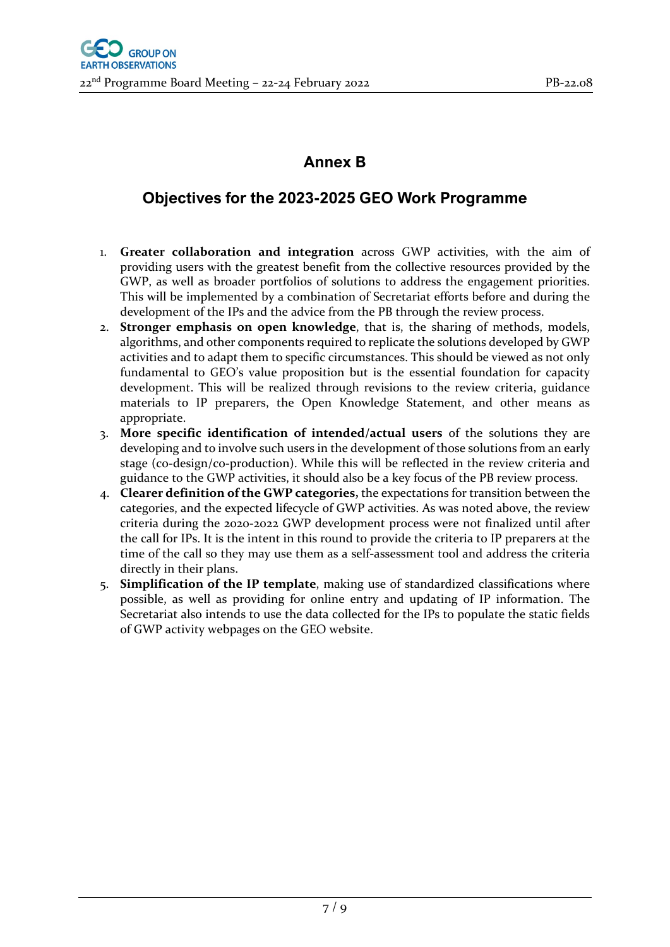## **Annex B**

## **Objectives for the 2023-2025 GEO Work Programme**

- 1. **Greater collaboration and integration** across GWP activities, with the aim of providing users with the greatest benefit from the collective resources provided by the GWP, as well as broader portfolios of solutions to address the engagement priorities. This will be implemented by a combination of Secretariat efforts before and during the development of the IPs and the advice from the PB through the review process.
- 2. **Stronger emphasis on open knowledge**, that is, the sharing of methods, models, algorithms, and other components required to replicate the solutions developed by GWP activities and to adapt them to specific circumstances. This should be viewed as not only fundamental to GEO's value proposition but is the essential foundation for capacity development. This will be realized through revisions to the review criteria, guidance materials to IP preparers, the Open Knowledge Statement, and other means as appropriate.
- 3. **More specific identification of intended/actual users** of the solutions they are developing and to involve such users in the development of those solutions from an early stage (co-design/co-production). While this will be reflected in the review criteria and guidance to the GWP activities, it should also be a key focus of the PB review process.
- 4. **Clearer definition of the GWP categories,** the expectations for transition between the categories, and the expected lifecycle of GWP activities. As was noted above, the review criteria during the 2020-2022 GWP development process were not finalized until after the call for IPs. It is the intent in this round to provide the criteria to IP preparers at the time of the call so they may use them as a self-assessment tool and address the criteria directly in their plans.
- 5. **Simplification of the IP template**, making use of standardized classifications where possible, as well as providing for online entry and updating of IP information. The Secretariat also intends to use the data collected for the IPs to populate the static fields of GWP activity webpages on the GEO website.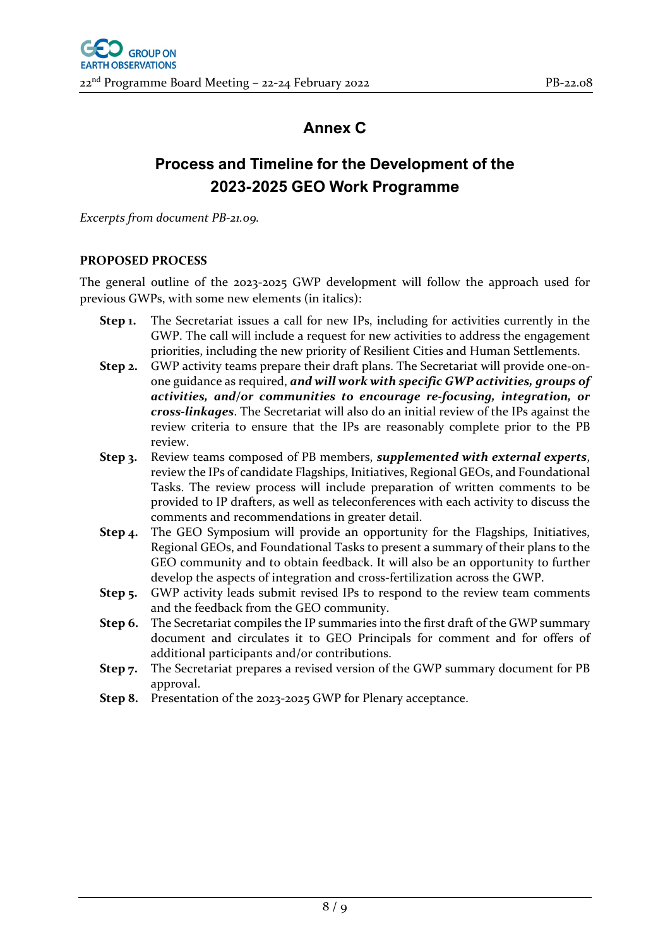# **Annex C**

# **Process and Timeline for the Development of the 2023-2025 GEO Work Programme**

*Excerpts from document PB-21.09.*

### **PROPOSED PROCESS**

The general outline of the 2023-2025 GWP development will follow the approach used for previous GWPs, with some new elements (in italics):

- **Step 1.** The Secretariat issues a call for new IPs, including for activities currently in the GWP. The call will include a request for new activities to address the engagement priorities, including the new priority of Resilient Cities and Human Settlements.
- **Step 2.** GWP activity teams prepare their draft plans. The Secretariat will provide one-onone guidance as required, *and will work with specific GWP activities, groups of activities, and/or communities to encourage re-focusing, integration, or cross-linkages*. The Secretariat will also do an initial review of the IPs against the review criteria to ensure that the IPs are reasonably complete prior to the PB review.
- **Step 3.** Review teams composed of PB members, *supplemented with external experts*, review the IPs of candidate Flagships, Initiatives, Regional GEOs, and Foundational Tasks. The review process will include preparation of written comments to be provided to IP drafters, as well as teleconferences with each activity to discuss the comments and recommendations in greater detail.
- **Step 4.** The GEO Symposium will provide an opportunity for the Flagships, Initiatives, Regional GEOs, and Foundational Tasks to present a summary of their plans to the GEO community and to obtain feedback. It will also be an opportunity to further develop the aspects of integration and cross-fertilization across the GWP.
- **Step 5.** GWP activity leads submit revised IPs to respond to the review team comments and the feedback from the GEO community.
- **Step 6.** The Secretariat compiles the IP summaries into the first draft of the GWP summary document and circulates it to GEO Principals for comment and for offers of additional participants and/or contributions.
- **Step 7.** The Secretariat prepares a revised version of the GWP summary document for PB approval.
- **Step 8.** Presentation of the 2023-2025 GWP for Plenary acceptance.